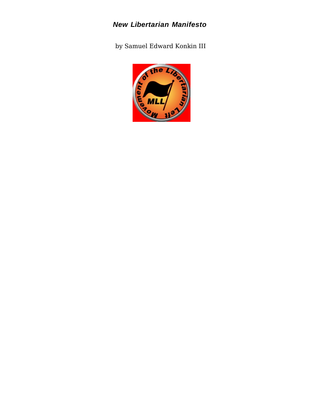# **New Libertarian Manifesto**

by Samuel Edward Konkin III

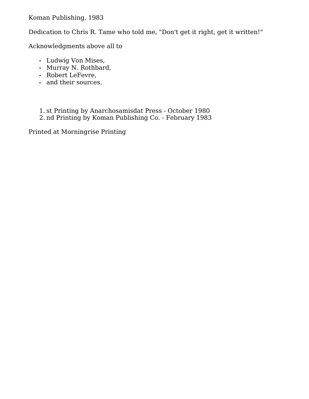Koman Publishing, 1983

Dedication to Chris R. Tame who told me, "Don't get it right, get it written!"

Acknowledgments above all to

- Ludwig Von Mises,
- Murray N. Rothbard,
- Robert LeFevre,
- and their sources.
- 1. st Printing by Anarchosamisdat Press October 1980
- 2. nd Printing by Koman Publishing Co. February 1983

Printed at Morningrise Printing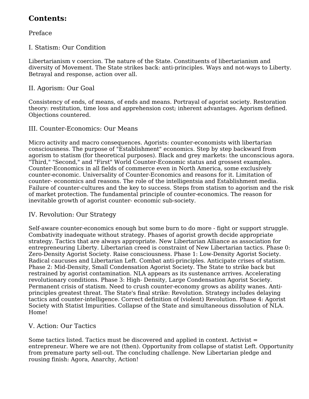## **Contents:**

### Preface

### I. Statism: Our Condition

Libertarianism v coercion. The nature of the State. Constituents of libertarianism and diversity of Movement. The State strikes back: anti-principles. Ways and not-ways to Liberty. Betrayal and response, action over all.

#### II. Agorism: Our Goal

Consistency of ends, of means, of ends and means. Portrayal of agorist society. Restoration theory: restitution, time loss and apprehension cost; inherent advantages. Agorism defined. Objections countered.

#### III. Counter-Economics: Our Means

Micro activity and macro consequences. Agorists: counter-economists with libertarian consciousness. The purpose of "Establishment" economics. Step by step backward from agorism to statism (for theoretical purposes). Black and grey markets: the unconscious agora. "Third," "Second," and "First" World Counter-Economic status and grossest examples. Counter-Economics in all fields of commerce even in North America, some exclusively counter-economic. Universality of Counter-Economics and reasons for it. Limitation of counter- economics and reasons. The role of the intelligentsia and Establishment media. Failure of counter-cultures and the key to success. Steps from statism to agorism and the risk of market protection. The fundamental principle of counter-economics. The reason for inevitable growth of agorist counter- economic sub-society.

#### IV. Revolution: Our Strategy

Self-aware counter-economics enough but some burn to do more - fight or support struggle. Combativity inadequate without strategy. Phases of agorist growth decide appropriate strategy. Tactics that are always appropriate. New Libertarian Alliance as association for entrepreneuring Liberty. Libertarian creed is constraint of New Libertarian tactics. Phase 0: Zero-Density Agorist Society. Raise consciousness. Phase 1: Low-Density Agorist Society. Radical caucuses and Libertarian Left. Combat anti-principles. Anticipate crises of statism. Phase 2: Mid-Density, Small Condensation Agorist Society. The State to strike back but restrained by agorist contamination. NLA appears as its sustenance arrives. Accelerating revolutionary conditions. Phase 3: High- Density, Large Condensation Agorist Society. Permanent crisis of statism. Need to crush counter-economy grows as ability wanes. Antiprinciples greatest threat. The State's final strike: Revolution. Strategy includes delaying tactics and counter-intelligence. Correct definition of (violent) Revolution. Phase 4: Agorist Society with Statist Impurities. Collapse of the State and simultaneous dissolution of NLA. Home!

#### V. Action: Our Tactics

Some tactics listed. Tactics must be discovered and applied in context. Activist = entrepreneur. Where we are not (then). Opportunity from collapse of statist Left. Opportunity from premature party sell-out. The concluding challenge. New Libertarian pledge and rousing finish: Agora, Anarchy, Action!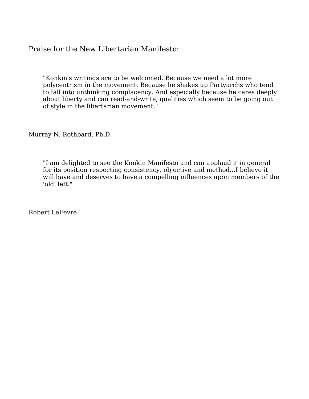Praise for the New Libertarian Manifesto:

"Konkin's writings are to be welcomed. Because we need a lot more polycentrism in the movement. Because he shakes up Partyarchs who tend to fall into unthinking complacency. And especially because he cares deeply about liberty and can read-and-write, qualities which seem to be going out of style in the libertarian movement."

Murray N. Rothbard, Ph.D.

"I am delighted to see the Konkin Manifesto and can applaud it in general for its position respecting consistency, objective and method...I believe it will have and deserves to have a compelling influences upon members of the 'old' left."

Robert LeFevre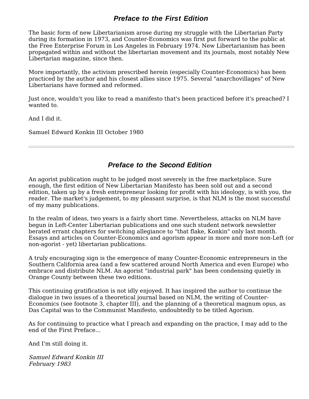### **Preface to the First Edition**

The basic form of new Libertarianism arose during my struggle with the Libertarian Party during its formation in 1973, and Counter-Economics was first put forward to the public at the Free Enterprise Forum in Los Angeles in February 1974. New Libertarianism has been propagated within and without the libertarian movement and its journals, most notably New Libertarian magazine, since then.

More importantly, the activism prescribed herein (especially Counter-Economics) has been practiced by the author and his closest allies since 1975. Several "anarchovillages" of New Libertarians have formed and reformed.

Just once, wouldn't you like to read a manifesto that's been practiced before it's preached? I wanted to.

And I did it.

Samuel Edward Konkin III October 1980

### **Preface to the Second Edition**

An agorist publication ought to be judged most severely in the free marketplace. Sure enough, the first edition of New Libertarian Manifesto has been sold out and a second edition, taken up by a fresh entrepreneur looking for profit with his ideology, is with you, the reader. The market's judgement, to my pleasant surprise, is that NLM is the most successful of my many publications.

In the realm of ideas, two years is a fairly short time. Nevertheless, attacks on NLM have begun in Left-Center Libertarian publications and one such student network newsletter berated errant chapters for switching allegiance to "that flake, Konkin" only last month. Essays and articles on Counter-Economics and agorism appear in more and more non-Left (or non-agorist - yet) libertarian publications.

A truly encouraging sign is the emergence of many Counter-Economic entrepreneurs in the Southern California area (and a few scattered around North America and even Europe) who embrace and distribute NLM. An agorist "industrial park" has been condensing quietly in Orange County between these two editions.

This continuing gratification is not idly enjoyed. It has inspired the author to continue the dialogue in two issues of a theoretical journal based on NLM, the writing of Counter-Economics (see footnote 3, chapter III), and the planning of a theoretical magnum opus, as Das Capital was to the Communist Manifesto, undoubtedly to be titled Agorism.

As for continuing to practice what I preach and expanding on the practice, I may add to the end of the First Preface...

And I'm still doing it.

Samuel Edward Konkin III February 1983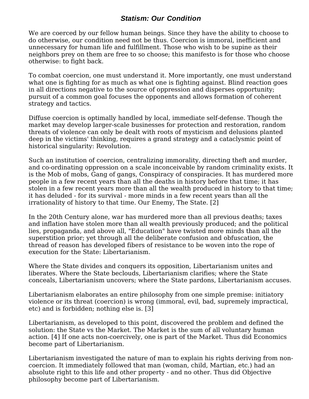### **Statism: Our Condition**

We are coerced by our fellow human beings. Since they have the ability to choose to do otherwise, our condition need not be thus. Coercion is immoral, inefficient and unnecessary for human life and fulfillment. Those who wish to be supine as their neighbors prey on them are free to so choose; this manifesto is for those who choose otherwise: to fight back.

To combat coercion, one must understand it. More importantly, one must understand what one is fighting for as much as what one is fighting against. Blind reaction goes in all directions negative to the source of oppression and disperses opportunity; pursuit of a common goal focuses the opponents and allows formation of coherent strategy and tactics.

Diffuse coercion is optimally handled by local, immediate self-defense. Though the market may develop larger-scale businesses for protection and restoration, random threats of violence can only be dealt with roots of mysticism and delusions planted deep in the victims' thinking, requires a grand strategy and a cataclysmic point of historical singularity: Revolution.

Such an institution of coercion, centralizing immorality, directing theft and murder, and co-ordinating oppression on a scale inconceivable by random criminality exists. It is the Mob of mobs, Gang of gangs, Conspiracy of conspiracies. It has murdered more people in a few recent years than all the deaths in history before that time; it has stolen in a few recent years more than all the wealth produced in history to that time; it has deluded - for its survival - more minds in a few recent years than all the irrationality of history to that time. Our Enemy, The State. [2]

In the 20th Century alone, war has murdered more than all previous deaths; taxes and inflation have stolen more than all wealth previously produced; and the political lies, propaganda, and above all, "Education" have twisted more minds than all the superstition prior; yet through all the deliberate confusion and obfuscation, the thread of reason has developed fibers of resistance to be woven into the rope of execution for the State: Libertarianism.

Where the State divides and conquers its opposition, Libertarianism unites and liberates. Where the State beclouds, Libertarianism clarifies; where the State conceals, Libertarianism uncovers; where the State pardons, Libertarianism accuses.

Libertarianism elaborates an entire philosophy from one simple premise: initiatory violence or its threat (coercion) is wrong (immoral, evil, bad, supremely impractical, etc) and is forbidden; nothing else is. [3]

Libertarianism, as developed to this point, discovered the problem and defined the solution: the State vs the Market. The Market is the sum of all voluntary human action. [4] If one acts non-coercively, one is part of the Market. Thus did Economics become part of Libertarianism.

Libertarianism investigated the nature of man to explain his rights deriving from noncoercion. It immediately followed that man (woman, child, Martian, etc.) had an absolute right to this life and other property - and no other. Thus did Objective philosophy become part of Libertarianism.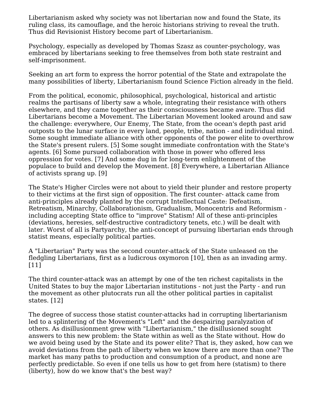Libertarianism asked why society was not libertarian now and found the State, its ruling class, its camouflage, and the heroic historians striving to reveal the truth. Thus did Revisionist History become part of Libertarianism.

Psychology, especially as developed by Thomas Szasz as counter-psychology, was embraced by libertarians seeking to free themselves from both state restraint and self-imprisonment.

Seeking an art form to express the horror potential of the State and extrapolate the many possibilities of liberty, Libertarianism found Science Fiction already in the field.

From the political, economic, philosophical, psychological, historical and artistic realms the partisans of liberty saw a whole, integrating their resistance with others elsewhere, and they came together as their consciousness became aware. Thus did Libertarians become a Movement. The Libertarian Movement looked around and saw the challenge: everywhere, Our Enemy, The State, from the ocean's depth past arid outposts to the lunar surface in every land, people, tribe, nation - and individual mind. Some sought immediate alliance with other opponents of the power elite to overthrow the State's present rulers. [5] Some sought immediate confrontation with the State's agents. [6] Some pursued collaboration with those in power who offered less oppression for votes. [7] And some dug in for long-term enlightenment of the populace to build and develop the Movement. [8] Everywhere, a Libertarian Alliance of activists sprang up. [9]

The State's Higher Circles were not about to yield their plunder and restore property to their victims at the first sign of opposition. The first counter- attack came from anti-principles already planted by the corrupt Intellectual Caste: Defeatism, Retreatism, Minarchy, Collaborationism, Gradualism, Monocentris and Reformism including accepting State office to "improve" Statism! All of these anti-principles (deviations, heresies, self-destructive contradictory tenets, etc.) will be dealt with later. Worst of all is Partyarchy, the anti-concept of pursuing libertarian ends through statist means, especially political parties.

A "Libertarian" Party was the second counter-attack of the State unleased on the fledgling Libertarians, first as a ludicrous oxymoron [10], then as an invading army. [11]

The third counter-attack was an attempt by one of the ten richest capitalists in the United States to buy the major Libertarian institutions - not just the Party - and run the movement as other plutocrats run all the other political parties in capitalist states. [12]

The degree of success those statist counter-attacks had in corrupting libertarianism led to a splintering of the Movement's "Left" and the despairing paralyzation of others. As disillusionment grew with "Libertarianism," the disillusioned sought answers to this new problem: the State within as well as the State without. How do we avoid being used by the State and its power elite? That is, they asked, how can we avoid deviations from the path of liberty when we know there are more than one? The market has many paths to production and consumption of a product, and none are perfectly predictable. So even if one tells us how to get from here (statism) to there (liberty), how do we know that's the best way?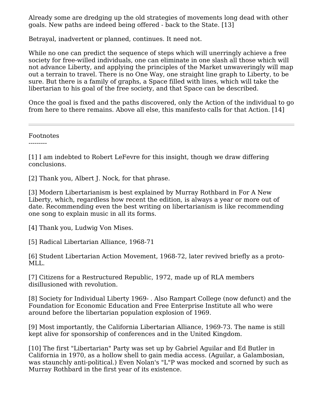Already some are dredging up the old strategies of movements long dead with other goals. New paths are indeed being offered - back to the State. [13]

Betrayal, inadvertent or planned, continues. It need not.

While no one can predict the sequence of steps which will unerringly achieve a free society for free-willed individuals, one can eliminate in one slash all those which will not advance Liberty, and applying the principles of the Market unwaveringly will map out a terrain to travel. There is no One Way, one straight line graph to Liberty, to be sure. But there is a family of graphs, a Space filled with lines, which will take the libertarian to his goal of the free society, and that Space can be described.

Once the goal is fixed and the paths discovered, only the Action of the individual to go from here to there remains. Above all else, this manifesto calls for that Action. [14]

Footnotes

---------

[1] I am indebted to Robert LeFevre for this insight, though we draw differing conclusions.

[2] Thank you, Albert J. Nock, for that phrase.

[3] Modern Libertarianism is best explained by Murray Rothbard in For A New Liberty, which, regardless how recent the edition, is always a year or more out of date. Recommending even the best writing on libertarianism is like recommending one song to explain music in all its forms.

[4] Thank you, Ludwig Von Mises.

[5] Radical Libertarian Alliance, 1968-71

[6] Student Libertarian Action Movement, 1968-72, later revived briefly as a proto-MLL.

[7] Citizens for a Restructured Republic, 1972, made up of RLA members disillusioned with revolution.

[8] Society for Individual Liberty 1969- . Also Rampart College (now defunct) and the Foundation for Economic Education and Free Enterprise Institute all who were around before the libertarian population explosion of 1969.

[9] Most importantly, the California Libertarian Alliance, 1969-73. The name is still kept alive for sponsorship of conferences and in the United Kingdom.

[10] The first "Libertarian" Party was set up by Gabriel Aguilar and Ed Butler in California in 1970, as a hollow shell to gain media access. (Aguilar, a Galambosian, was staunchly anti-political.) Even Nolan's "L"P was mocked and scorned by such as Murray Rothbard in the first year of its existence.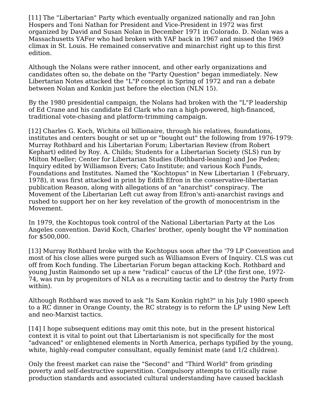[11] The "Libertarian" Party which eventually organized nationally and ran John Hospers and Toni Nathan for President and Vice-President in 1972 was first organized by David and Susan Nolan in December 1971 in Colorado. D. Nolan was a Massachusetts YAFer who had broken with YAF back in 1967 and missed the 1969 climax in St. Louis. He remained conservative and minarchist right up to this first edition.

Although the Nolans were rather innocent, and other early organizations and candidates often so, the debate on the "Party Question" began immediately. New Libertarian Notes attacked the "L"P concept in Spring of 1972 and ran a debate between Nolan and Konkin just before the election (NLN 15).

By the 1980 presidential campaign, the Nolans had broken with the "L"P leadership of Ed Crane and his candidate Ed Clark who ran a high-powered, high-financed, traditional vote-chasing and platform-trimming campaign.

[12] Charles G. Koch, Wichita oil billionaire, through his relatives, foundations, institutes and centers bought or set up or "bought out" the following from 1976-1979: Murray Rothbard and his Libertarian Forum; Libertarian Review (from Robert Kephart) edited by Roy. A. Childs; Students for a Libertarian Society (SLS) run by Milton Mueller; Center for Libertarian Studies (Rothbard-leaning) and Joe Peden; Inquiry edited by Williamson Evers; Cato Institute; and various Koch Funds, Foundations and Institutes. Named the "Kochtopus" in New Libertarian 1 (February, 1978), it was first attacked in print by Edith Efron in the conservative-libertarian publication Reason, along with allegations of an "anarchist" conspiracy. The Movement of the Libertarian Left cut away from Efron's anti-anarchist ravings and rushed to support her on her key revelation of the growth of monocentrism in the Movement.

In 1979, the Kochtopus took control of the National Libertarian Party at the Los Angeles convention. David Koch, Charles' brother, openly bought the VP nomination for \$500,000.

[13] Murray Rothbard broke with the Kochtopus soon after the '79 LP Convention and most of his close allies were purged such as Williamson Evers of Inquiry. CLS was cut off from Koch funding. The Libertarian Forum began attacking Koch. Rothbard and young Justin Raimondo set up a new "radical" caucus of the LP (the first one, 1972- 74, was run by progenitors of NLA as a recruiting tactic and to destroy the Party from within).

Although Rothbard was moved to ask "Is Sam Konkin right?" in his July 1980 speech to a RC dinner in Orange County, the RC strategy is to reform the LP using New Left and neo-Marxist tactics.

[14] I hope subsequent editions may omit this note, but in the present historical context it is vital to point out that Libertarianism is not specifically for the most "advanced" or enlightened elements in North America, perhaps typified by the young, white, highly-read computer consultant, equally feminist mate (and 1/2 children).

Only the freest market can raise the "Second" and "Third World" from grinding poverty and self-destructive superstition. Compulsory attempts to critically raise production standards and associated cultural understanding have caused backlash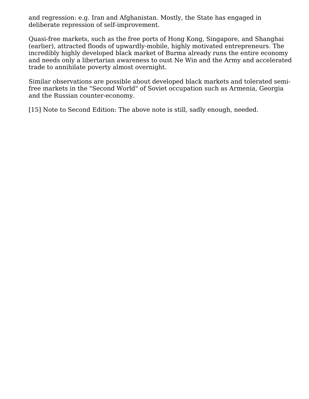and regression: e.g. Iran and Afghanistan. Mostly, the State has engaged in deliberate repression of self-improvement.

Quasi-free markets, such as the free ports of Hong Kong, Singapore, and Shanghai (earlier), attracted floods of upwardly-mobile, highly motivated entrepreneurs. The incredibly highly developed black market of Burma already runs the entire economy and needs only a libertarian awareness to oust Ne Win and the Army and accelerated trade to annihilate poverty almost overnight.

Similar observations are possible about developed black markets and tolerated semifree markets in the "Second World" of Soviet occupation such as Armenia, Georgia and the Russian counter-economy.

[15] Note to Second Edition: The above note is still, sadly enough, needed.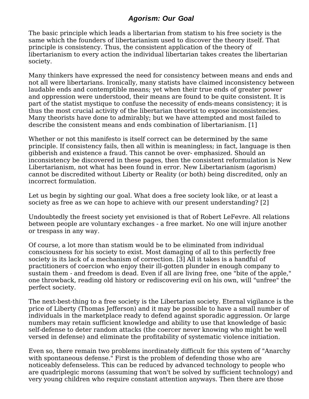## **Agorism: Our Goal**

The basic principle which leads a libertarian from statism to his free society is the same which the founders of libertarianism used to discover the theory itself. That principle is consistency. Thus, the consistent application of the theory of libertarianism to every action the individual libertarian takes creates the libertarian society.

Many thinkers have expressed the need for consistency between means and ends and not all were libertarians. Ironically, many statists have claimed inconsistency between laudable ends and contemptible means; yet when their true ends of greater power and oppression were understood, their means are found to be quite consistent. It is part of the statist mystique to confuse the necessity of ends-means consistency; it is thus the most crucial activity of the libertarian theorist to expose inconsistencies. Many theorists have done to admirably; but we have attempted and most failed to describe the consistent means and ends combination of libertarianism. [1]

Whether or not this manifesto is itself correct can be determined by the same principle. If consistency fails, then all within is meaningless; in fact, language is then gibberish and existence a fraud. This cannot be over- emphasized. Should an inconsistency be discovered in these pages, then the consistent reformulation is New Libertarianism, not what has been found in error. New Libertarianism (agorism) cannot be discredited without Liberty or Reality (or both) being discredited, only an incorrect formulation.

Let us begin by sighting our goal. What does a free society look like, or at least a society as free as we can hope to achieve with our present understanding? [2]

Undoubtedly the freest society yet envisioned is that of Robert LeFevre. All relations between people are voluntary exchanges - a free market. No one will injure another or trespass in any way.

Of course, a lot more than statism would be to be eliminated from individual consciousness for his society to exist. Most damaging of all to this perfectly free society is its lack of a mechanism of correction. [3] All it takes is a handful of practitioners of coercion who enjoy their ill-gotten plunder in enough company to sustain them - and freedom is dead. Even if all are living free, one "bite of the apple," one throwback, reading old history or rediscovering evil on his own, will "unfree" the perfect society.

The next-best-thing to a free society is the Libertarian society. Eternal vigilance is the price of Liberty (Thomas Jefferson) and it may be possible to have a small number of individuals in the marketplace ready to defend against sporadic aggression. Or large numbers may retain sufficient knowledge and ability to use that knowledge of basic self-defense to deter random attacks (the coercer never knowing who might be well versed in defense) and eliminate the profitability of systematic violence initiation.

Even so, there remain two problems inordinately difficult for this system of "Anarchy with spontaneous defense." First is the problem of defending those who are noticeably defenseless. This can be reduced by advanced technology to people who are quadriplegic morons (assuming that won't be solved by sufficient technology) and very young children who require constant attention anyways. Then there are those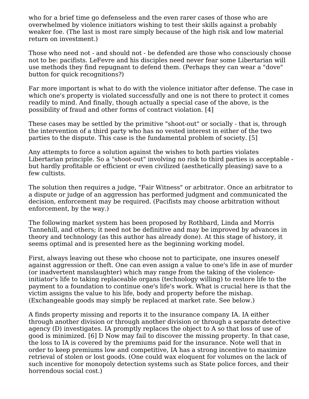who for a brief time go defenseless and the even rarer cases of those who are overwhelmed by violence initiators wishing to test their skills against a probably weaker foe. (The last is most rare simply because of the high risk and low material return on investment.)

Those who need not - and should not - be defended are those who consciously choose not to be: pacifists. LeFevre and his disciples need never fear some Libertarian will use methods they find repugnant to defend them. (Perhaps they can wear a "dove" button for quick recognitions?)

Far more important is what to do with the violence initiator after defense. The case in which one's property is violated successfully and one is not there to protect it comes readily to mind. And finally, though actually a special case of the above, is the possibility of fraud and other forms of contract violation. [4]

These cases may be settled by the primitive "shoot-out" or socially - that is, through the intervention of a third party who has no vested interest in either of the two parties to the dispute. This case is the fundamental problem of society. [5]

Any attempts to force a solution against the wishes to both parties violates Libertarian principle. So a "shoot-out" involving no risk to third parties is acceptable but hardly profitable or efficient or even civilized (aesthetically pleasing) save to a few cultists.

The solution then requires a judge, "Fair Witness" or arbitrator. Once an arbitrator to a dispute or judge of an aggression has performed judgment and communicated the decision, enforcement may be required. (Pacifists may choose arbitration without enforcement, by the way.)

The following market system has been proposed by Rothbard, Linda and Morris Tannehill, and others; it need not be definitive and may be improved by advances in theory and technology (as this author has already done). At this stage of history, it seems optimal and is presented here as the beginning working model.

First, always leaving out these who choose not to participate, one insures oneself against aggression or theft. One can even assign a value to one's life in ase of murder (or inadvertent manslaughter) which may range from the taking of the violenceinitiator's life to taking replaceable organs (technology willing) to restore life to the payment to a foundation to continue one's life's work. What is crucial here is that the victim assigns the value to his life, body and property before the mishap. (Exchangeable goods may simply be replaced at market rate. See below.)

A finds property missing and reports it to the insurance company IA. IA either through another division or through another division or through a separate detective agency (D) investigates. IA promptly replaces the object to A so that loss of use of good is minimized. [6] D Now may fail to discover the missing property. In that case, the loss to IA is covered by the premiums paid for the insurance. Note well that in order to keep premiums low and competitive, IA has a strong incentive to maximize retrieval of stolen or lost goods. (One could wax eloquent for volumes on the lack of such incentive for monopoly detection systems such as State police forces, and their horrendous social cost.)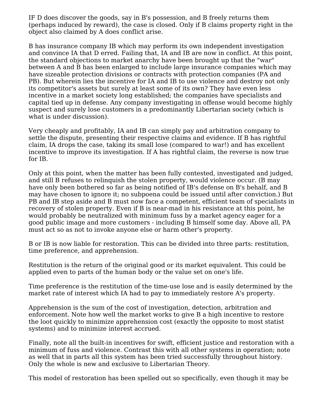IF D does discover the goods, say in B's possession, and B freely returns them (perhaps induced by reward), the case is closed. Only if B claims property right in the object also claimed by A does conflict arise.

B has insurance company IB which may perform its own independent investigation and convince IA that D erred. Failing that, IA and IB are now in conflict. At this point, the standard objections to market anarchy have been brought up that the "war" between A and B has been enlarged to include large insurance companies which may have sizeable protection divisions or contracts with protection companies (PA and PB). But wherein lies the incentive for IA and IB to use violence and destroy not only its competitor's assets but surely at least some of its own? They have even less incentive in a market society long established; the companies have specialists and capital tied up in defense. Any company investigating in offense would become highly suspect and surely lose customers in a predominantly Libertarian society (which is what is under discussion).

Very cheaply and profitably, IA and IB can simply pay and arbitration company to settle the dispute, presenting their respective claims and evidence. If B has rightful claim, IA drops the case, taking its small lose (compared to war!) and has excellent incentive to improve its investigation. If A has rightful claim, the reverse is now true for IB.

Only at this point, when the matter has been fully contested, investigated and judged, and still B refuses to relinquish the stolen property, would violence occur. (B may have only been bothered so far as being notified of IB's defense on B's behalf, and B may have chosen to ignore it; no subpoena could be issued until after conviction.) But PB and IB step aside and B must now face a competent, efficient team of specialists in recovery of stolen property. Even if B is near-mad in his resistance at this point, he would probably be neutralized with minimum fuss by a market agency eager for a good public image and more customers - including B himself some day. Above all, PA must act so as not to invoke anyone else or harm other's property.

B or IB is now liable for restoration. This can be divided into three parts: restitution, time preference, and apprehension.

Restitution is the return of the original good or its market equivalent. This could be applied even to parts of the human body or the value set on one's life.

Time preference is the restitution of the time-use lose and is easily determined by the market rate of interest which IA had to pay to immediately restore A's property.

Apprehension is the sum of the cost of investigation, detection, arbitration and enforcement. Note how well the market works to give B a high incentive to restore the loot quickly to minimize apprehension cost (exactly the opposite to most statist systems) and to minimize interest accrued.

Finally, note all the built-in incentives for swift, efficient justice and restoration with a minimum of fuss and violence. Contrast this with all other systems in operation; note as well that in parts all this system has been tried successfully throughout history. Only the whole is new and exclusive to Libertarian Theory.

This model of restoration has been spelled out so specifically, even though it may be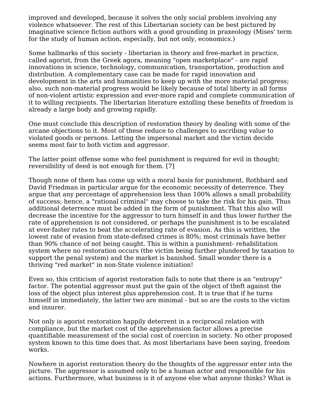improved and developed, because it solves the only social problem involving any violence whatsoever. The rest of this Libertarian society can be best pictured by imaginative science fiction authors with a good grounding in praxeology (Mises' term for the study of human action, especially, but not only, economics.)

Some hallmarks of this society - libertarian in theory and free-market in practice, called agorist, from the Greek agora, meaning "open marketplace" - are rapid innovations in science, technology, communication, transportation, production and distribution. A complementary case can be made for rapid innovation and development in the arts and humanities to keep up with the more material progress; also, such non-material progress would be likely because of total liberty in all forms of non-violent artistic expression and ever-more rapid and complete communication of it to willing recipients. The libertarian literature extolling these benefits of freedom is already a large body and growing rapidly.

One must conclude this description of restoration theory by dealing with some of the arcane objections to it. Most of these reduce to challenges to ascribing value to violated goods or persons. Letting the impersonal market and the victim decide seems most fair to both victim and aggressor.

The latter point offense some who feel punishment is required for evil in thought; reversibility of deed is not enough for them. [7]

Though none of them has come up with a moral basis for punishment, Rothbard and David Friedman in particular argue for the economic necessity of deterrence. They argue that any percentage of apprehension less than 100% allows a small probability of success; hence, a "rational criminal" may choose to take the risk for his gain. Thus additional deterrence must be added in the form of punishment. That this also will decrease the incentive for the aggressor to turn himself in and thus lower further the rate of apprehension is not considered, or perhaps the punishment is to be escalated at ever-faster rates to beat the accelerating rate of evasion. As this is written, the lowest rate of evasion from state-defined crimes is 80%; most criminals have better than 90% chance of not being caught. This is within a punishment- rehabilitation system where no restoration occurs (the victim being further plundered by taxation to support the penal system) and the market is banished. Small wonder there is a thriving "red market" in non-State violence initiation!

Even so, this criticism of agorist restoration fails to note that there is an "entropy" factor. The potential aggressor must put the gain of the object of theft against the loss of the object plus interest plus apprehension cost. It is true that if he turns himself in immediately, the latter two are minimal - but so are the costs to the victim and insurer.

Not only is agorist restoration happily deterrent in a reciprocal relation with compliance, but the market cost of the apprehension factor allows a precise quantifiable measurement of the social cost of coercion in society. No other proposed system known to this time does that. As most libertarians have been saying, freedom works.

Nowhere in agorist restoration theory do the thoughts of the aggressor enter into the picture. The aggressor is assumed only to be a human actor and responsible for his actions. Furthermore, what business is it of anyone else what anyone thinks? What is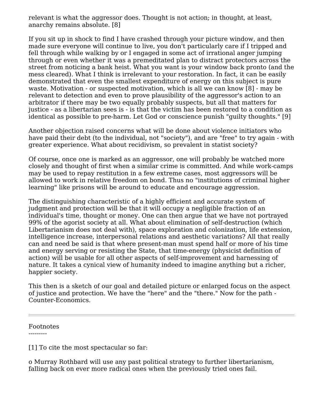relevant is what the aggressor does. Thought is not action; in thought, at least, anarchy remains absolute. [8]

If you sit up in shock to find I have crashed through your picture window, and then made sure everyone will continue to live, you don't particularly care if I tripped and fell through while walking by or I engaged in some act of irrational anger jumping through or even whether it was a premeditated plan to distract protectors across the street from noticing a bank heist. What you want is your window back pronto (and the mess cleared). What I think is irrelevant to your restoration. In fact, it can be easily demonstrated that even the smallest expenditure of energy on this subject is pure waste. Motivation - or suspected motivation, which is all we can know [8] - may be relevant to detection and even to prove plausibility of the aggressor's action to an arbitrator if there may be two equally probably suspects, but all that matters for justice - as a libertarian sees is - is that the victim has been restored to a condition as identical as possible to pre-harm. Let God or conscience punish "guilty thoughts." [9]

Another objection raised concerns what will be done about violence initiators who have paid their debt (to the individual, not "society"), and are "free" to try again - with greater experience. What about recidivism, so prevalent in statist society?

Of course, once one is marked as an aggressor, one will probably be watched more closely and thought of first when a similar crime is committed. And while work-camps may be used to repay restitution in a few extreme cases, most aggressors will be allowed to work in relative freedom on bond. Thus no "institutions of criminal higher learning" like prisons will be around to educate and encourage aggression.

The distinguishing characteristic of a highly efficient and accurate system of judgment and protection will be that it will occupy a negligible fraction of an individual's time, thought or money. One can then argue that we have not portrayed 99% of the agorist society at all. What about elimination of self-destruction (which Libertarianism does not deal with), space exploration and colonization, life extension, intelligence increase, interpersonal relations and aesthetic variations? All that really can and need be said is that where present-man must spend half or more of his time and energy serving or resisting the State, that time-energy (physicist definition of action) will be usable for all other aspects of self-improvement and harnessing of nature. It takes a cynical view of humanity indeed to imagine anything but a richer, happier society.

This then is a sketch of our goal and detailed picture or enlarged focus on the aspect of justice and protection. We have the "here" and the "there." Now for the path - Counter-Economics.

#### Footnotes

---------

[1] To cite the most spectacular so far:

o Murray Rothbard will use any past political strategy to further libertarianism, falling back on ever more radical ones when the previously tried ones fail.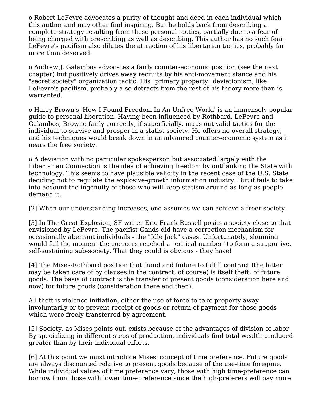o Robert LeFevre advocates a purity of thought and deed in each individual which this author and may other find inspiring. But he holds back from describing a complete strategy resulting from these personal tactics, partially due to a fear of being charged with prescribing as well as describing. This author has no such fear. LeFevre's pacifism also dilutes the attraction of his libertarian tactics, probably far more than deserved.

o Andrew J. Galambos advocates a fairly counter-economic position (see the next chapter) but positively drives away recruits by his anti-movement stance and his "secret society" organization tactic. His "primary property" deviationism, like LeFevre's pacifism, probably also detracts from the rest of his theory more than is warranted.

o Harry Brown's 'How I Found Freedom In An Unfree World' is an immensely popular guide to personal liberation. Having been influenced by Rothbard, LeFevre and Galambos, Browne fairly correctly, if superficially, maps out valid tactics for the individual to survive and prosper in a statist society. He offers no overall strategy, and his techniques would break down in an advanced counter-economic system as it nears the free society.

o A deviation with no particular spokesperson but associated largely with the Libertarian Connection is the idea of achieving freedom by outflanking the State with technology. This seems to have plausible validity in the recent case of the U.S. State deciding not to regulate the explosive-growth information industry. But if fails to take into account the ingenuity of those who will keep statism around as long as people demand it.

[2] When our understanding increases, one assumes we can achieve a freer society.

[3] In The Great Explosion, SF writer Eric Frank Russell posits a society close to that envisioned by LeFevre. The pacifist Gands did have a correction mechanism for occasionally aberrant individuals - the "Idle Jack" cases. Unfortunately, shunning would fail the moment the coercers reached a "critical number" to form a supportive, self-sustaining sub-society. That they could is obvious - they have!

[4] The Mises-Rothbard position that fraud and failure to fulfill contract (the latter may be taken care of by clauses in the contract, of course) is itself theft: of future goods. The basis of contract is the transfer of present goods (consideration here and now) for future goods (consideration there and then).

All theft is violence initiation, either the use of force to take property away involuntarily or to prevent receipt of goods or return of payment for those goods which were freely transferred by agreement.

[5] Society, as Mises points out, exists because of the advantages of division of labor. By specializing in different steps of production, individuals find total wealth produced greater than by their individual efforts.

[6] At this point we must introduce Mises' concept of time preference. Future goods are always discounted relative to present goods because of the use-time foregone. While individual values of time preference vary, those with high time-preference can borrow from those with lower time-preference since the high-preferers will pay more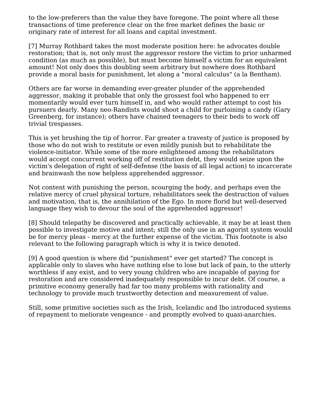to the low-preferers than the value they have foregone. The point where all these transactions of time preference clear on the free market defines the basic or originary rate of interest for all loans and capital investment.

[7] Murray Rothbard takes the most moderate position here: he advocates double restoration; that is, not only must the aggressor restore the victim to prior unharmed condition (as much as possible), but must become himself a victim for an equivalent amount! Not only does this doubling seem arbitrary but nowhere does Rothbard provide a moral basis for punishment, let along a "moral calculus" (a la Bentham).

Others are far worse in demanding ever-greater plunder of the apprehended aggressor, making it probable that only the grossest fool who happened to err momentarily would ever turn himself in, and who would rather attempt to cost his pursuers dearly. Many neo-Randists would shoot a child for purloining a candy (Gary Greenberg, for instance); others have chained teenagers to their beds to work off trivial trespasses.

This is yet brushing the tip of horror. Far greater a travesty of justice is proposed by those who do not wish to restitute or even mildly punish but to rehabilitate the violence-initiator. While some of the more enlightened among the rehabilitators would accept concurrent working off of restitution debt, they would seize upon the victim's delegation of right of self-defense (the basis of all legal action) to incarcerate and brainwash the now helpless apprehended aggressor.

Not content with punishing the person, scourging the body, and perhaps even the relative mercy of cruel physical torture, rehabilitators seek the destruction of values and motivation, that is, the annihilation of the Ego. In more florid but well-deserved language they wish to devour the soul of the apprehended aggressor!

[8] Should telepathy be discovered and practically achievable, it may be at least then possible to investigate motive and intent; still the only use in an agorist system would be for mercy pleas - mercy at the further expense of the victim. This footnote is also relevant to the following paragraph which is why it is twice denoted.

[9] A good question is where did "punishment" ever get started? The concept is applicable only to slaves who have nothing else to lose but lack of pain, to the utterly worthless if any exist, and to very young children who are incapable of paying for restoration and are considered inadequately responsible to incur debt. Of course, a primitive economy generally had far too many problems with rationality and technology to provide much trustworthy detection and measurement of value.

Still, some primitive societies such as the Irish, Icelandic and Ibo introduced systems of repayment to meliorate vengeance - and promptly evolved to quasi-anarchies.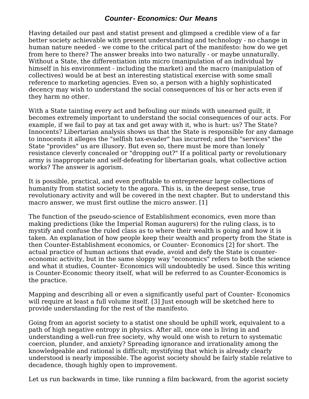### **Counter- Economics: Our Means**

Having detailed our past and statist present and glimpsed a credible view of a far better society achievable with present understanding and technology - no change in human nature needed - we come to the critical part of the manifesto: how do we get from here to there? The answer breaks into two naturally - or maybe unnaturally. Without a State, the differentiation into micro (manipulation of an individual by himself in his environment - including the market) and the macro (manipulation of collectives) would be at best an interesting statistical exercise with some small reference to marketing agencies. Even so, a person with a highly sophisticated decency may wish to understand the social consequences of his or her acts even if they harm no other.

With a State tainting every act and befouling our minds with unearned guilt, it becomes extremely important to understand the social consequences of our acts. For example, if we fail to pay at tax and get away with it, who is hurt: us? The State? Innocents? Libertarian analysis shows us that the State is responsible for any damage to innocents it alleges the "selfish tax-evader" has incurred; and the "services" the State "provides" us are illusory. But even so, there must be more than lonely resistance cleverly concealed or "dropping out?" If a political party or revolutionary army is inappropriate and self-defeating for libertarian goals, what collective action works? The answer is agorism.

It is possible, practical, and even profitable to entrepreneur large collections of humanity from statist society to the agora. This is, in the deepest sense, true revolutionary activity and will be covered in the next chapter. But to understand this macro answer, we must first outline the micro answer. [1]

The function of the pseudo-science of Establishment economics, even more than making predictions (like the Imperial Roman augurers) for the ruling class, is to mystify and confuse the ruled class as to where their wealth is going and how it is taken. An explanation of how people keep their wealth and property from the State is then Counter-Establishment economics, or Counter- Economics [2] for short. The actual practice of human actions that evade, avoid and defy the State is countereconomic activity, but in the same sloppy way "economics" refers to both the science and what it studies, Counter- Economics will undoubtedly be used. Since this writing is Counter-Economic theory itself, what will be referred to as Counter-Economics is the practice.

Mapping and describing all or even a significantly useful part of Counter- Economics will require at least a full volume itself. [3] Just enough will be sketched here to provide understanding for the rest of the manifesto.

Going from an agorist society to a statist one should be uphill work, equivalent to a path of high negative entropy in physics. After all, once one is living in and understanding a well-run free society, why would one wish to return to systematic coercion, plunder, and anxiety? Spreading ignorance and irrationality among the knowledgeable and rational is difficult; mystifying that which is already clearly understood is nearly impossible. The agorist society should be fairly stable relative to decadence, though highly open to improvement.

Let us run backwards in time, like running a film backward, from the agorist society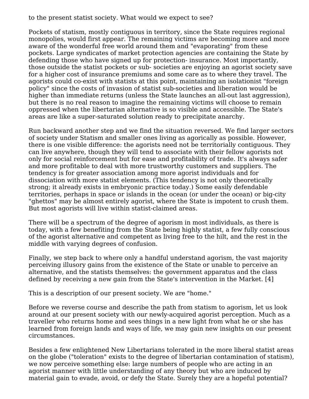to the present statist society. What would we expect to see?

Pockets of statism, mostly contiguous in territory, since the State requires regional monopolies, would first appear. The remaining victims are becoming more and more aware of the wonderful free world around them and "evaporating" from these pockets. Large syndicates of market protection agencies are containing the State by defending those who have signed up for protection- insurance. Most importantly, those outside the statist pockets or sub- societies are enjoying an agorist society save for a higher cost of insurance premiums and some care as to where they travel. The agorists could co-exist with statists at this point, maintaining an isolationist "foreign policy" since the costs of invasion of statist sub-societies and liberation would be higher than immediate returns (unless the State launches an all-out last aggression), but there is no real reason to imagine the remaining victims will choose to remain oppressed when the libertarian alternative is so visible and accessible. The State's areas are like a super-saturated solution ready to precipitate anarchy.

Run backward another step and we find the situation reversed. We find larger sectors of society under Statism and smaller ones living as agorically as possible. However, there is one visible difference: the agorists need not be territorially contiguous. They can live anywhere, though they will tend to associate with their fellow agorists not only for social reinforcement but for ease and profitability of trade. It's always safer and more profitable to deal with more trustworthy customers and suppliers. The tendency is for greater association among more agorist individuals and for dissociation with more statist elements. (This tendency is not only theoretically strong; it already exists in embryonic practice today.) Some easily defendable territories, perhaps in space or islands in the ocean (or under the ocean) or big-city "ghettos" may be almost entirely agorist, where the State is impotent to crush them. But most agorists will live within statist-claimed areas.

There will be a spectrum of the degree of agorism in most individuals, as there is today, with a few benefiting from the State being highly statist, a few fully conscious of the agorist alternative and competent as living free to the hilt, and the rest in the middle with varying degrees of confusion.

Finally, we step back to where only a handful understand agorism, the vast majority perceiving illusory gains from the existence of the State or unable to perceive an alternative, and the statists themselves: the government apparatus and the class defined by receiving a new gain from the State's intervention in the Market. [4]

This is a description of our present society. We are "home."

Before we reverse course and describe the path from statism to agorism, let us look around at our present society with our newly-acquired agorist perception. Much as a traveller who returns home and sees things in a new light from what he or she has learned from foreign lands and ways of life, we may gain new insights on our present circumstances.

Besides a few enlightened New Libertarians tolerated in the more liberal statist areas on the globe ("toleration" exists to the degree of libertarian contamination of statism), we now perceive something else: large numbers of people who are acting in an agorist manner with little understanding of any theory but who are induced by material gain to evade, avoid, or defy the State. Surely they are a hopeful potential?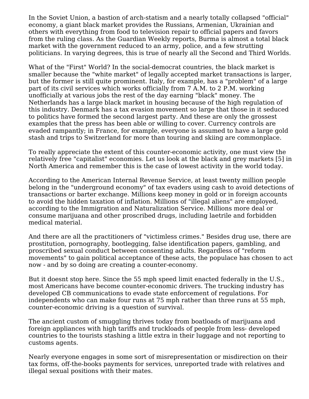In the Soviet Union, a bastion of arch-statism and a nearly totally collapsed "official" economy, a giant black market provides the Russians, Armenian, Ukrainian and others with everything from food to television repair to official papers and favors from the ruling class. As the Guardian Weekly reports, Burma is almost a total black market with the government reduced to an army, police, and a few strutting politicians. In varying degrees, this is true of nearly all the Second and Third Worlds.

What of the "First" World? In the social-democrat countries, the black market is smaller because the "white market" of legally accepted market transactions is larger, but the former is still quite prominent. Italy, for example, has a "problem" of a large part of its civil services which works officially from 7 A.M. to 2 P.M. working unofficially at various jobs the rest of the day earning "black" money. The Netherlands has a large black market in housing because of the high regulation of this industry. Denmark has a tax evasion movement so large that those in it seduced to politics have formed the second largest party. And these are only the grossest examples that the press has been able or willing to cover. Currency controls are evaded rampantly; in France, for example, everyone is assumed to have a large gold stash and trips to Switzerland for more than touring and skiing are commonplace.

To really appreciate the extent of this counter-economic activity, one must view the relatively free "capitalist" economies. Let us look at the black and grey markets [5] in North America and remember this is the case of lowest activity in the world today.

According to the American Internal Revenue Service, at least twenty million people belong in the "underground economy" of tax evaders using cash to avoid detections of transactions or barter exchange. Millions keep money in gold or in foreign accounts to avoid the hidden taxation of inflation. Millions of "illegal aliens" are employed, according to the Immigration and Naturalization Service. Millions more deal or consume marijuana and other proscribed drugs, including laetrile and forbidden medical material.

And there are all the practitioners of "victimless crimes." Besides drug use, there are prostitution, pornography, bootlegging, false identification papers, gambling, and proscribed sexual conduct between consenting adults. Regardless of "reform movements" to gain political acceptance of these acts, the populace has chosen to act now - and by so doing are creating a counter-economy.

But it doesnt stop here. Since the 55 mph speed limit enacted federally in the U.S., most Americans have become counter-economic drivers. The trucking industry has developed CB communications to evade state enforcement of regulations. For independents who can make four runs at 75 mph rather than three runs at 55 mph, counter-economic driving is a question of survival.

The ancient custom of smuggling thrives today from boatloads of marijuana and foreign appliances with high tariffs and truckloads of people from less- developed countries to the tourists stashing a little extra in their luggage and not reporting to customs agents.

Nearly everyone engages in some sort of misrepresentation or misdirection on their tax forms, off-the-books payments for services, unreported trade with relatives and illegal sexual positions with their mates.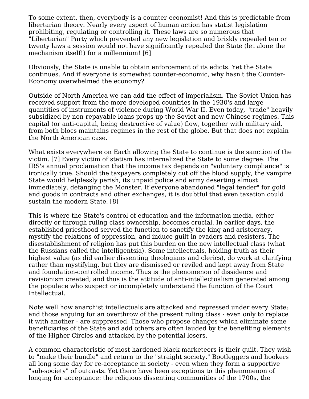To some extent, then, everybody is a counter-economist! And this is predictable from libertarian theory. Nearly every aspect of human action has statist legislation prohibiting, regulating or controlling it. These laws are so numerous that "Libertarian" Party which prevented any new legislation and briskly repealed ten or twenty laws a session would not have significantly repealed the State (let alone the mechanism itself!) for a millennium! [6]

Obviously, the State is unable to obtain enforcement of its edicts. Yet the State continues. And if everyone is somewhat counter-economic, why hasn't the Counter-Economy overwhelmed the economy?

Outside of North America we can add the effect of imperialism. The Soviet Union has received support from the more developed countries in the 1930's and large quantities of instruments of violence during World War II. Even today, "trade" heavily subsidized by non-repayable loans props up the Soviet and new Chinese regimes. This capital (or anti-capital, being destructive of value) flow, together with military aid, from both blocs maintains regimes in the rest of the globe. But that does not explain the North American case.

What exists everywhere on Earth allowing the State to continue is the sanction of the victim. [7] Every victim of statism has internalized the State to some degree. The IRS's annual proclamation that the income tax depends on "voluntary compliance" is ironically true. Should the taxpayers completely cut off the blood supply, the vampire State would helplessly perish, its unpaid police and army deserting almost immediately, defanging the Monster. If everyone abandoned "legal tender" for gold and goods in contracts and other exchanges, it is doubtful that even taxation could sustain the modern State. [8]

This is where the State's control of education and the information media, either directly or through ruling-class ownership, becomes crucial. In earlier days, the established priesthood served the function to sanctify the king and aristocracy, mystify the relations of oppression, and induce guilt in evaders and resisters. The disestablishment of religion has put this burden on the new intellectual class (what the Russians called the intelligentsia). Some intellectuals, holding truth as their highest value (as did earlier dissenting theologians and clerics), do work at clarifying rather than mystifying, but they are dismissed or reviled and kept away from State and foundation-controlled income. Thus is the phenomenon of dissidence and revisionism created; and thus is the attitude of anti-intellectualism generated among the populace who suspect or incompletely understand the function of the Court Intellectual.

Note well how anarchist intellectuals are attacked and repressed under every State; and those arguing for an overthrow of the present ruling class - even only to replace it with another - are suppressed. Those who propose changes which eliminate some beneficiaries of the State and add others are often lauded by the benefiting elements of the Higher Circles and attacked by the potential losers.

A common characteristic of most hardened black marketeers is their guilt. They wish to "make their bundle" and return to the "straight society." Bootleggers and hookers all long some day for re-acceptance in society - even when they form a supportive "sub-society" of outcasts. Yet there have been exceptions to this phenomenon of longing for acceptance: the religious dissenting communities of the 1700s, the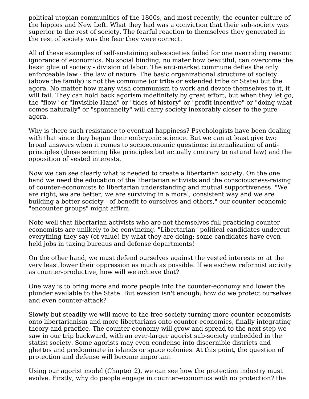political utopian communities of the 1800s, and most recently, the counter-culture of the hippies and New Left. What they had was a conviction that their sub-society was superior to the rest of society. The fearful reaction to themselves they generated in the rest of society was the fear they were correct.

All of these examples of self-sustaining sub-societies failed for one overriding reason: ignorance of economics. No social binding, no mater how beautiful, can overcome the basic glue of society - division of labor. The anti-market commune defies the only enforceable law - the law of nature. The basic organizational structure of society (above the family) is not the commune (or tribe or extended tribe or State) but the agora. No matter how many wish communism to work and devote themselves to it, it will fail. They can hold back agorism indefinitely by great effort, but when they let go, the "flow" or "Invisible Hand" or "tides of history" or "profit incentive" or "doing what comes naturally" or "spontaneity" will carry society inexorably closer to the pure agora.

Why is there such resistance to eventual happiness? Psychologists have been dealing with that since they began their embryonic science. But we can at least give two broad answers when it comes to socioeconomic questions: internalization of antiprinciples (those seeming like principles but actually contrary to natural law) and the opposition of vested interests.

Now we can see clearly what is needed to create a libertarian society. On the one hand we need the education of the libertarian activists and the consciousness-raising of counter-economists to libertarian understanding and mutual supportiveness. "We are right, we are better, we are surviving in a moral, consistent way and we are building a better society - of benefit to ourselves and others," our counter-economic "encounter groups" might affirm.

Note well that libertarian activists who are not themselves full practicing countereconomists are unlikely to be convincing. "Libertarian" political candidates undercut everything they say (of value) by what they are doing; some candidates have even held jobs in taxing bureaus and defense departments!

On the other hand, we must defend ourselves against the vested interests or at the very least lower their oppression as much as possible. If we eschew reformist activity as counter-productive, how will we achieve that?

One way is to bring more and more people into the counter-economy and lower the plunder available to the State. But evasion isn't enough; how do we protect ourselves and even counter-attack?

Slowly but steadily we will move to the free society turning more counter-economists onto libertarianism and more libertarians onto counter-economics, finally integrating theory and practice. The counter-economy will grow and spread to the next step we saw in our trip backward, with an ever-larger agorist sub-society embedded in the statist society. Some agorists may even condense into discernible districts and ghettos and predominate in islands or space colonies. At this point, the question of protection and defense will become important

Using our agorist model (Chapter 2), we can see how the protection industry must evolve. Firstly, why do people engage in counter-economics with no protection? the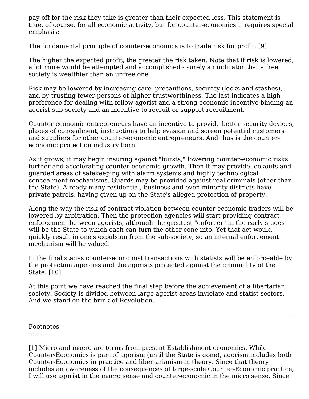pay-off for the risk they take is greater than their expected loss. This statement is true, of course, for all economic activity, but for counter-economics it requires special emphasis:

The fundamental principle of counter-economics is to trade risk for profit. [9]

The higher the expected profit, the greater the risk taken. Note that if risk is lowered, a lot more would be attempted and accomplished - surely an indicator that a free society is wealthier than an unfree one.

Risk may be lowered by increasing care, precautions, security (locks and stashes), and by trusting fewer persons of higher trustworthiness. The last indicates a high preference for dealing with fellow agorist and a strong economic incentive binding an agorist sub-society and an incentive to recruit or support recruitment.

Counter-economic entrepreneurs have an incentive to provide better security devices, places of concealment, instructions to help evasion and screen potential customers and suppliers for other counter-economic entrepreneurs. And thus is the countereconomic protection industry born.

As it grows, it may begin insuring against "bursts," lowering counter-economic risks further and accelerating counter-economic growth. Then it may provide lookouts and guarded areas of safekeeping with alarm systems and highly technological concealment mechanisms. Guards may be provided against real criminals (other than the State). Already many residential, business and even minority districts have private patrols, having given up on the State's alleged protection of property.

Along the way the risk of contract-violation between counter-economic traders will be lowered by arbitration. Then the protection agencies will start providing contract enforcement between agorists, although the greatest "enforcer" in the early stages will be the State to which each can turn the other cone into. Yet that act would quickly result in one's expulsion from the sub-society; so an internal enforcement mechanism will be valued.

In the final stages counter-economist transactions with statists will be enforceable by the protection agencies and the agorists protected against the criminality of the State. [10]

At this point we have reached the final step before the achievement of a libertarian society. Society is divided between large agorist areas inviolate and statist sectors. And we stand on the brink of Revolution.

### Footnotes

---------

[1] Micro and macro are terms from present Establishment economics. While Counter-Economics is part of agorism (until the State is gone), agorism includes both Counter-Economics in practice and libertarianism in theory. Since that theory includes an awareness of the consequences of large-scale Counter-Economic practice, I will use agorist in the macro sense and counter-economic in the micro sense. Since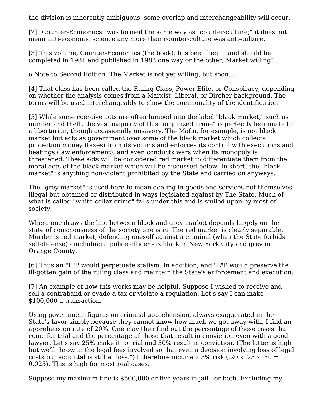the division is inherently ambiguous, some overlap and interchangeability will occur.

[2] "Counter-Economics" was formed the same way as "counter-culture;" it does not mean anti-economic science any more than counter-culture was anti-culture.

[3] This volume, Counter-Economics (the book), has been begun and should be completed in 1981 and published in 1982 one way or the other, Market willing!

o Note to Second Edition: The Market is not yet willing, but soon...

[4] That class has been called the Ruling Class, Power Elite, or Conspiracy, depending on whether the analysis comes from a Marxist, Liberal, or Bircher background. The terms will be used interchangeably to show the commonality of the identification.

[5] While some coercive acts are often lumped into the label "black market," such as murder and theft, the vast majority of this "organized crime" is perfectly legitimate to a libertarian, though occasionally unsavory. The Mafia, for example, is not black market but acts as government over some of the black market which collects protection money (taxes) from its victims and enforces its control with executions and beatings (law enforcement), and even conducts wars when its monopoly is threatened. These acts will be considered red market to differentiate them from the moral acts of the black market which will be discussed below. In short, the "black market" is anything non-violent prohibited by the State and carried on anyways.

The "grey market" is used here to mean dealing in goods and services not themselves illegal but obtained or distributed in ways legislated against by The State. Much of what is called "white-collar crime" falls under this and is smiled upon by most of society.

Where one draws the line between black and grey market depends largely on the state of consciousness of the society one is in. The red market is clearly separable. Murder is red market; defending oneself against a criminal (when the State forbids self-defense) - including a police officer - is black in New York City and grey in Orange County.

[6] Thus an "L"P would perpetuate statism. In addition, and "L"P would preserve the ill-gotten gain of the ruling class and maintain the State's enforcement and execution.

[7] An example of how this works may be helpful. Suppose I wished to receive and sell a contraband or evade a tax or violate a regulation. Let's say I can make \$100,000 a transaction.

Using government figures on criminal apprehension, always exaggerated in the State's favor simply because they cannot know how much we got away with, I find an apprehension rate of 20%. One may then find out the percentage of those cases that come for trial and the percentage of those that result in conviction even with a good lawyer. Let's say 25% make it to trial and 50% result in conviction. (The latter is high but we'll throw in the legal fees involved so that even a decision involving loss of legal costs but acquittal is still a "loss.") I therefore incur a 2.5% risk  $(.20 \text{ x} \cdot .25 \text{ x} \cdot .50 =$ 0.025). This is high for most real cases.

Suppose my maximum fine is \$500,000 or five years in jail - or both. Excluding my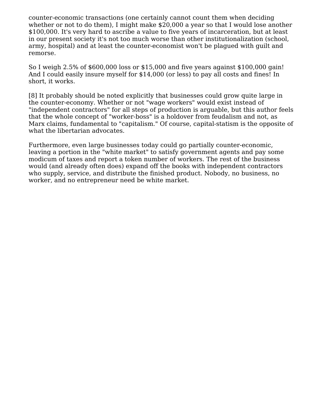counter-economic transactions (one certainly cannot count them when deciding whether or not to do them), I might make \$20,000 a year so that I would lose another \$100,000. It's very hard to ascribe a value to five years of incarceration, but at least in our present society it's not too much worse than other institutionalization (school, army, hospital) and at least the counter-economist won't be plagued with guilt and remorse.

So I weigh 2.5% of \$600,000 loss or \$15,000 and five years against \$100,000 gain! And I could easily insure myself for \$14,000 (or less) to pay all costs and fines! In short, it works.

[8] It probably should be noted explicitly that businesses could grow quite large in the counter-economy. Whether or not "wage workers" would exist instead of "independent contractors" for all steps of production is arguable, but this author feels that the whole concept of "worker-boss" is a holdover from feudalism and not, as Marx claims, fundamental to "capitalism." Of course, capital-statism is the opposite of what the libertarian advocates.

Furthermore, even large businesses today could go partially counter-economic, leaving a portion in the "white market" to satisfy government agents and pay some modicum of taxes and report a token number of workers. The rest of the business would (and already often does) expand off the books with independent contractors who supply, service, and distribute the finished product. Nobody, no business, no worker, and no entrepreneur need be white market.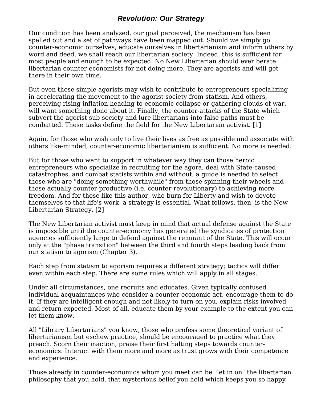### **Revolution: Our Strategy**

Our condition has been analyzed, our goal perceived, the mechanism has been spelled out and a set of pathways have been mapped out. Should we simply go counter-economic ourselves, educate ourselves in libertarianism and inform others by word and deed, we shall reach our libertarian society. Indeed, this is sufficient for most people and enough to be expected. No New Libertarian should ever berate libertarian counter-economists for not doing more. They are agorists and will get there in their own time.

But even these simple agorists may wish to contribute to entrepreneurs specializing in accelerating the movement to the agorist society from statism. And others, perceiving rising inflation heading to economic collapse or gathering clouds of war, will want something done about it. Finally, the counter-attacks of the State which subvert the agorist sub-society and lure libertarians into false paths must be combatted. These tasks define the field for the New Libertarian activist. [1]

Again, for those who wish only to live their lives as free as possible and associate with others like-minded, counter-economic libertarianism is sufficient. No more is needed.

But for those who want to support in whatever way they can those heroic entrepreneurs who specialize in recruiting for the agora, deal with State-caused catastrophes, and combat statists within and without, a guide is needed to select those who are "doing something worthwhile" from those spinning their wheels and those actually counter-productive (i.e. counter-revolutionary) to achieving more freedom. And for those like this author, who burn for Liberty and wish to devote themselves to that life's work, a strategy is essential. What follows, then, is the New Libertarian Strategy. [2]

The New Libertarian activist must keep in mind that actual defense against the State is impossible until the counter-economy has generated the syndicates of protection agencies sufficiently large to defend against the remnant of the State. This will occur only at the "phase transition" between the third and fourth steps leading back from our statism to agorism (Chapter 3).

Each step from statism to agorism requires a different strategy; tactics will differ even within each step. There are some rules which will apply in all stages.

Under all circumstances, one recruits and educates. Given typically confused individual acquaintances who consider a counter-economic act, encourage them to do it. If they are intelligent enough and not likely to turn on you, explain risks involved and return expected. Most of all, educate them by your example to the extent you can let them know.

All "Library Libertarians" you know, those who profess some theoretical variant of libertarianism but eschew practice, should be encouraged to practice what they preach. Scorn their inaction, praise their first halting steps towards countereconomics. Interact with them more and more as trust grows with their competence and experience.

Those already in counter-economics whom you meet can be "let in on" the libertarian philosophy that you hold, that mysterious belief you hold which keeps you so happy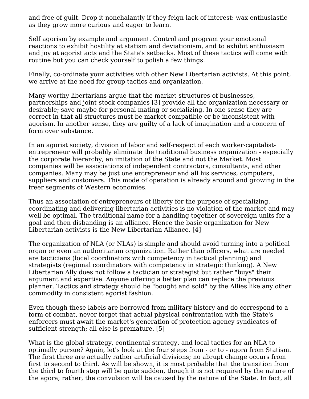and free of guilt. Drop it nonchalantly if they feign lack of interest: wax enthusiastic as they grow more curious and eager to learn.

Self agorism by example and argument. Control and program your emotional reactions to exhibit hostility at statism and deviationism, and to exhibit enthusiasm and joy at agorist acts and the State's setbacks. Most of these tactics will come with routine but you can check yourself to polish a few things.

Finally, co-ordinate your activities with other New Libertarian activists. At this point, we arrive at the need for group tactics and organization.

Many worthy libertarians argue that the market structures of businesses, partnerships and joint-stock companies [3] provide all the organization necessary or desirable; save maybe for personal mating or socializing. In one sense they are correct in that all structures must be market-compatible or be inconsistent with agorism. In another sense, they are guilty of a lack of imagination and a concern of form over substance.

In an agorist society, division of labor and self-respect of each worker-capitalistentrepreneur will probably eliminate the traditional business organization - especially the corporate hierarchy, an imitation of the State and not the Market. Most companies will be associations of independent contractors, consultants, and other companies. Many may be just one entrepreneur and all his services, computers, suppliers and customers. This mode of operation is already around and growing in the freer segments of Western economies.

Thus an association of entrepreneurs of liberty for the purpose of specializing, coordinating and delivering libertarian activities is no violation of the market and may well be optimal. The traditional name for a handling together of sovereign units for a goal and then disbanding is an alliance. Hence the basic organization for New Libertarian activists is the New Libertarian Alliance. [4]

The organization of NLA (or NLAs) is simple and should avoid turning into a political organ or even an authoritarian organization. Rather than officers, what are needed are tacticians (local coordinators with competency in tactical planning) and strategists (regional coordinators with competency in strategic thinking). A New Libertarian Ally does not follow a tactician or strategist but rather "buys" their argument and expertise. Anyone offering a better plan can replace the previous planner. Tactics and strategy should be "bought and sold" by the Allies like any other commodity in consistent agorist fashion.

Even though these labels are borrowed from military history and do correspond to a form of combat, never forget that actual physical confrontation with the State's enforcers must await the market's generation of protection agency syndicates of sufficient strength; all else is premature. [5]

What is the global strategy, continental strategy, and local tactics for an NLA to optimally pursue? Again, let's look at the four steps from - or to - agora from Statism. The first three are actually rather artificial divisions; no abrupt change occurs from first to second to third. As will be shown, it is most probable that the transition from the third to fourth step will be quite sudden, though it is not required by the nature of the agora; rather, the convulsion will be caused by the nature of the State. In fact, all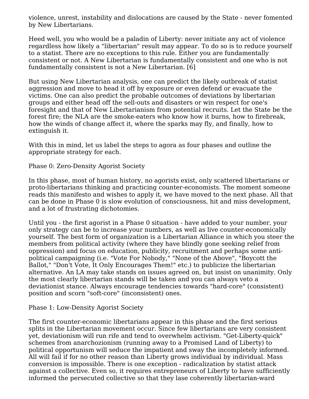violence, unrest, instability and dislocations are caused by the State - never fomented by New Libertarians.

Heed well, you who would be a paladin of Liberty: never initiate any act of violence regardless how likely a "libertarian" result may appear. To do so is to reduce yourself to a statist. There are no exceptions to this rule. Either you are fundamentally consistent or not. A New Libertarian is fundamentally consistent and one who is not fundamentally consistent is not a New Libertarian. [6]

But using New Libertarian analysis, one can predict the likely outbreak of statist aggression and move to head it off by exposure or even defend or evacuate the victims. One can also predict the probable outcomes of deviations by libertarian groups and either head off the sell-outs and disasters or win respect for one's foresight and that of New Libertarianism from potential recruits. Let the State be the forest fire; the NLA are the smoke-eaters who know how it burns, how to firebreak, how the winds of change affect it, where the sparks may fly, and finally, how to extinguish it.

With this in mind, let us label the steps to agora as four phases and outline the appropriate strategy for each.

Phase 0: Zero-Density Agorist Society

In this phase, most of human history, no agorists exist, only scattered libertarians or proto-libertarians thinking and practicing counter-economists. The moment someone reads this manifesto and wishes to apply it, we have moved to the next phase. All that can be done in Phase 0 is slow evolution of consciousness, hit and miss development, and a lot of frustrating dichotomies.

Until you - the first agorist in a Phase 0 situation - have added to your number, your only strategy can be to increase your numbers, as well as live counter-economically yourself. The best form of organization is a Libertarian Alliance in which you steer the members from political activity (where they have blindly gone seeking relief from oppression) and focus on education, publicity, recruitment and perhaps some antipolitical campaigning (i.e. "Vote For Nobody," "None of the Above", "Boycott the Ballot," "Don't Vote, It Only Encourages Them!" etc.) to publicize the libertarian alternative. An LA may take stands on issues agreed on, but insist on unanimity. Only the most clearly libertarian stands will be taken and you can always veto a deviationist stance. Always encourage tendencies towards "hard-core" (consistent) position and scorn "soft-core" (inconsistent) ones.

### Phase 1: Low-Density Agorist Society

The first counter-economic libertarians appear in this phase and the first serious splits in the Libertarian movement occur. Since few libertarians are very consistent yet, deviationism will run rife and tend to overwhelm activism. "Get-Liberty-quick" schemes from anarchozionism (running away to a Promised Land of Liberty) to political opportunism will seduce the impatient and sway the incompletely informed. All will fail if for no other reason than Liberty grows individual by individual. Mass conversion is impossible. There is one exception - radicalization by statist attack against a collective. Even so, it requires entrepreneurs of Liberty to have sufficiently informed the persecuted collective so that they lase coherently libertarian-ward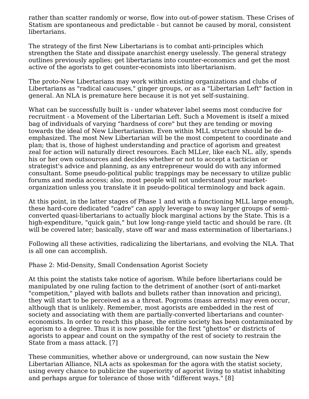rather than scatter randomly or worse, flow into out-of-power statism. These Crises of Statism are spontaneous and predictable - but cannot be caused by moral, consistent libertarians.

The strategy of the first New Libertarians is to combat anti-principles which strengthen the State and dissipate anarchist energy uselessly. The general strategy outlines previously applies; get libertarians into counter-economics and get the most active of the agorists to get counter-economists into libertarianism.

The proto-New Libertarians may work within existing organizations and clubs of Libertarians as "radical caucuses," ginger groups, or as a "Libertarian Left" faction in general. An NLA is premature here because it is not yet self-sustaining.

What can be successfully built is - under whatever label seems most conducive for recruitment - a Movement of the Libertarian Left. Such a Movement is itself a mixed bag of individuals of varying "hardness of core" but they are tending or moving towards the ideal of New Libertarianism. Even within MLL structure should be deemphasized. The most New Libertarian will be the most competent to coordinate and plan; that is, those of highest understanding and practice of agorism and greatest zeal for action will naturally direct resources. Each MLLer, like each NL. ally, spends his or her own outsources and decides whether or not to accept a tactician or strategist's advice and planning, as any entrepreneur would do with any informed consultant. Some pseudo-political public trappings may be necessary to utilize public forums and media access; also, most people will not understand your marketorganization unless you translate it in pseudo-political terminology and back again.

At this point, in the latter stages of Phase 1 and with a functioning MLL large enough, these hard-core dedicated "cadre" can apply leverage to sway larger groups of semiconverted quasi-libertarians to actually block marginal actions by the State. This is a high-expenditure, "quick gain," but low long-range yield tactic and should be rare. (It will be covered later; basically, stave off war and mass extermination of libertarians.)

Following all these activities, radicalizing the libertarians, and evolving the NLA. That is all one can accomplish.

Phase 2: Mid-Density, Small Condensation Agorist Society

At this point the statists take notice of agorism. While before libertarians could be manipulated by one ruling faction to the detriment of another (sort of anti-market "competition," played with ballots and bullets rather than innovation and pricing), they will start to be perceived as a a threat. Pogroms (mass arrests) may even occur, although that is unlikely. Remember, most agorists are embedded in the rest of society and associating with them are partially-converted libertarians and countereconomists. In order to reach this phase, the entire society has been contaminated by agorism to a degree. Thus it is now possible for the first "ghettos" or districts of agorists to appear and count on the sympathy of the rest of society to restrain the State from a mass attack. [7]

These communities, whether above or underground, can now sustain the New Libertarian Alliance, NLA acts as spokesman for the agora with the statist society, using every chance to publicize the superiority of agorist living to statist inhabiting and perhaps argue for tolerance of those with "different ways." [8]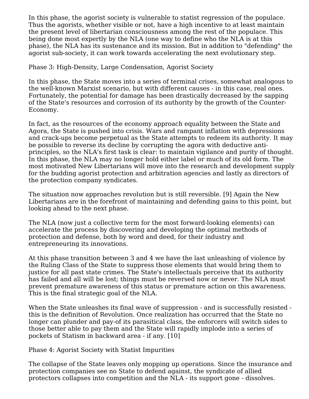In this phase, the agorist society is vulnerable to statist regression of the populace. Thus the agorists, whether visible or not, have a high incentive to at least maintain the present level of libertarian consciousness among the rest of the populace. This being done most expertly by the NLA (one way to define who the NLA is at this phase), the NLA has its sustenance and its mission. But in addition to "defending" the agorist sub-society, it can work towards accelerating the next evolutionary step.

Phase 3: High-Density, Large Condensation, Agorist Society

In this phase, the State moves into a series of terminal crises, somewhat analogous to the well-known Marxist scenario, but with different causes - in this case, real ones. Fortunately, the potential for damage has been drastically decreased by the sapping of the State's resources and corrosion of its authority by the growth of the Counter-Economy.

In fact, as the resources of the economy approach equality between the State and Agora, the State is pushed into crisis. Wars and rampant inflation with depressions and crack-ups become perpetual as the State attempts to redeem its authority. It may be possible to reverse its decline by corrupting the agora with deductive antiprinciples, so the NLA's first task is clear: to maintain vigilance and purity of thought. In this phase, the NLA may no longer hold either label or much of its old form. The most motivated New Libertarians will move into the research and development supply for the budding agorist protection and arbitration agencies and lastly as directors of the protection company syndicates.

The situation now approaches revolution but is still reversible. [9] Again the New Libertarians are in the forefront of maintaining and defending gains to this point, but looking ahead to the next phase.

The NLA (now just a collective term for the most forward-looking elements) can accelerate the process by discovering and developing the optimal methods of protection and defense, both by word and deed, for their industry and entrepreneuring its innovations.

At this phase transition between 3 and 4 we have the last unleashing of violence by the Ruling Class of the State to suppress those elements that would bring them to justice for all past state crimes. The State's intellectuals perceive that its authority has failed and all will be lost; things must be reversed now or never. The NLA must prevent premature awareness of this status or premature action on this awareness. This is the final strategic goal of the NLA.

When the State unleashes its final wave of suppression - and is successfully resisted this is the definition of Revolution. Once realization has occurred that the State no longer can plunder and pay-of its parasitical class, the enforcers will switch sides to those better able to pay them and the State will rapidly implode into a series of pockets of Statism in backward area - if any. [10]

Phase 4: Agorist Society with Statist Impurities

The collapse of the State leaves only mopping up operations. Since the insurance and protection companies see no State to defend against, the syndicate of allied protectors collapses into competition and the NLA - its support gone - dissolves.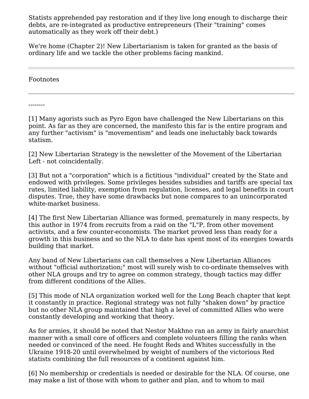Statists apprehended pay restoration and if they live long enough to discharge their debts, are re-integrated as productive entrepreneurs (Their "training" comes automatically as they work off their debt.)

We're home (Chapter 2)! New Libertarianism is taken for granted as the basis of ordinary life and we tackle the other problems facing mankind.

Footnotes

--------

[1] Many agorists such as Pyro Egon have challenged the New Libertarians on this point. As far as they are concerned, the manifesto this far is the entire program and any further "activism" is "movementism" and leads one ineluctably back towards statism.

[2] New Libertarian Strategy is the newsletter of the Movement of the Libertarian Left - not coincidentally.

[3] But not a "corporation" which is a fictitious "individual" created by the State and endowed with privileges. Some privileges besides subsidies and tariffs are special tax rates, limited liability, exemption from regulation, licenses, and legal benefits in court disputes. True, they have some drawbacks but none compares to an unincorporated white-market business.

[4] The first New Libertarian Alliance was formed, prematurely in many respects, by this author in 1974 from recruits from a raid on the "L"P, from other movement activists, and a few counter-economists. The market proved less than ready for a growth in this business and so the NLA to date has spent most of its energies towards building that market.

Any band of New Libertarians can call themselves a New Libertarian Alliances without "official authorization;" most will surely wish to co-ordinate themselves with other NLA groups and try to agree on common strategy, though tactics may differ from different conditions of the Allies.

[5] This mode of NLA organization worked well for the Long Beach chapter that kept it constantly in practice. Regional strategy was not fully "shaken down" by practice but no other NLA group maintained that high a level of committed Allies who were constantly developing and working that theory.

As for armies, it should be noted that Nestor Makhno ran an army in fairly anarchist manner with a small core of officers and complete volunteers filling the ranks when needed or convinced of the need. He fought Reds and Whites successfully in the Ukraine 1918-20 until overwhelmed by weight of numbers of the victorious Red statists combining the full resources of a continent against him.

[6] No membership or credentials is needed or desirable for the NLA. Of course, one may make a list of those with whom to gather and plan, and to whom to mail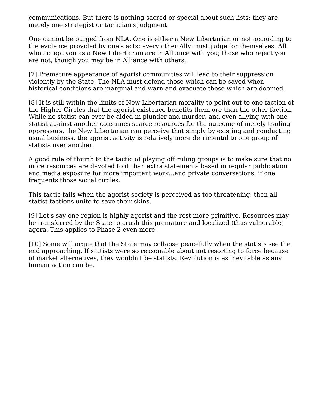communications. But there is nothing sacred or special about such lists; they are merely one strategist or tactician's judgment.

One cannot be purged from NLA. One is either a New Libertarian or not according to the evidence provided by one's acts; every other Ally must judge for themselves. All who accept you as a New Libertarian are in Alliance with you; those who reject you are not, though you may be in Alliance with others.

[7] Premature appearance of agorist communities will lead to their suppression violently by the State. The NLA must defend those which can be saved when historical conditions are marginal and warn and evacuate those which are doomed.

[8] It is still within the limits of New Libertarian morality to point out to one faction of the Higher Circles that the agorist existence benefits them ore than the other faction. While no statist can ever be aided in plunder and murder, and even allying with one statist against another consumes scarce resources for the outcome of merely trading oppressors, the New Libertarian can perceive that simply by existing and conducting usual business, the agorist activity is relatively more detrimental to one group of statists over another.

A good rule of thumb to the tactic of playing off ruling groups is to make sure that no more resources are devoted to it than extra statements based in regular publication and media exposure for more important work...and private conversations, if one frequents those social circles.

This tactic fails when the agorist society is perceived as too threatening; then all statist factions unite to save their skins.

[9] Let's say one region is highly agorist and the rest more primitive. Resources may be transferred by the State to crush this premature and localized (thus vulnerable) agora. This applies to Phase 2 even more.

[10] Some will argue that the State may collapse peacefully when the statists see the end approaching. If statists were so reasonable about not resorting to force because of market alternatives, they wouldn't be statists. Revolution is as inevitable as any human action can be.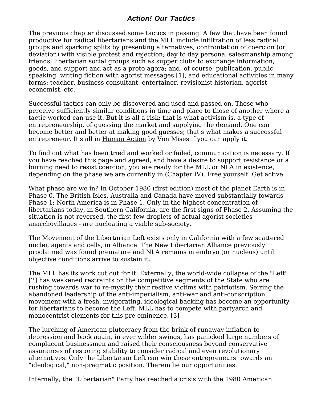## **Action! Our Tactics**

The previous chapter discussed some tactics in passing. A few that have been found productive for radical libertarians and the MLL include infiltration of less radical groups and sparking splits by presenting alternatives; confrontation of coercion (or deviation) with visible protest and rejection; day to day personal salesmanship among friends; libertarian social groups such as supper clubs to exchange information, goods, and support and act as a proto-agora; and, of course, publication, public speaking, writing fiction with agorist messages [1], and educational activities in many forms: teacher, business consultant, entertainer, revisionist historian, agorist economist, etc.

Successful tactics can only be discovered and used and passed on. Those who perceive sufficiently similar conditions in time and place to those of another where a tactic worked can use it. But it is all a risk; that is what activism is, a type of entrepreneurship, of guessing the market and supplying the demand. One can become better and better at making good guesses; that's what makes a successful entrepreneur. It's all in Human Action by Von Mises if you can apply it.

To find out what has been tried and worked or failed, communication is necessary. If you have reached this page and agreed, and have a desire to support resistance or a burning need to resist coercion, you are ready for the MLL or NLA in existence, depending on the phase we are currently in (Chapter IV). Free yourself. Get active.

What phase are we in? In October 1980 (first edition) most of the planet Earth is in Phase 0. The British Isles, Australia and Canada have moved substantially towards Phase 1; North America is in Phase 1. Only in the highest concentration of libertarians today, in Southern California, are the first signs of Phase 2. Assuming the situation is not reversed, the first few droplets of actual agorist societies anarchovillages - are nucleating a viable sub-society.

The Movement of the Libertarian Left exists only in California with a few scattered nuclei, agents and cells, in Alliance. The New Libertarian Alliance previously proclaimed was found premature and NLA remains in embryo (or nucleus) until objective conditions arrive to sustain it.

The MLL has its work cut out for it. Externally, the world-wide collapse of the "Left" [2] has weakened restraints on the competitive segments of the State who are rushing towards war to re-mystify their restive victims with patriotism. Seizing the abandoned leadership of the anti-imperialism, anti-war and anti-conscription movement with a fresh, invigorating, ideological backing has become an opportunity for libertarians to become the Left. MLL has to compete with partyarch and monocentrist elements for this pre-eminence. [3]

The lurching of American plutocracy from the brink of runaway inflation to depression and back again, in ever wilder swings, has panicked large numbers of complacent businessmen and raised their consciousness beyond conservative assurances of restoring stability to consider radical and even revolutionary alternatives. Only the Libertarian Left can win these entrepreneurs towards an "ideological," non-pragmatic position. Therein lie our opportunities.

Internally, the "Libertarian" Party has reached a crisis with the 1980 American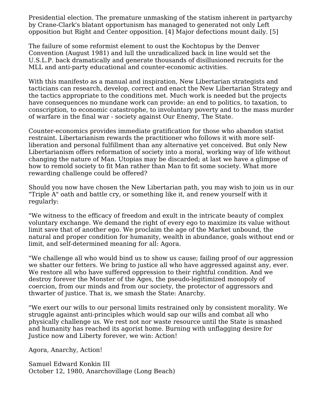Presidential election. The premature unmasking of the statism inherent in partyarchy by Crane-Clark's blatant opportunism has managed to generated not only Left opposition but Right and Center opposition. [4] Major defections mount daily. [5]

The failure of some reformist element to oust the Kochtopus by the Denver Convention (August 1981) and lull the unradicalized back in line would set the U.S.L.P. back dramatically and generate thousands of disillusioned recruits for the MLL and anti-party educational and counter-economic activities.

With this manifesto as a manual and inspiration, New Libertarian strategists and tacticians can research, develop, correct and enact the New Libertarian Strategy and the tactics appropriate to the conditions met. Much work is needed but the projects have consequences no mundane work can provide: an end to politics, to taxation, to conscription, to economic catastrophe, to involuntary poverty and to the mass murder of warfare in the final war - society against Our Enemy, The State.

Counter-economics provides immediate gratification for those who abandon statist restraint. Libertarianism rewards the practitioner who follows it with more selfliberation and personal fulfillment than any alternative yet conceived. But only New Libertarianism offers reformation of society into a moral, working way of life without changing the nature of Man. Utopias may be discarded; at last we have a glimpse of how to remold society to fit Man rather than Man to fit some society. What more rewarding challenge could be offered?

Should you now have chosen the New Libertarian path, you may wish to join us in our "Triple A" oath and battle cry, or something like it, and renew yourself with it regularly:

"We witness to the efficacy of freedom and exult in the intricate beauty of complex voluntary exchange. We demand the right of every ego to maximize its value without limit save that of another ego. We proclaim the age of the Market unbound, the natural and proper condition for humanity, wealth in abundance, goals without end or limit, and self-determined meaning for all: Agora.

"We challenge all who would bind us to show us cause; failing proof of our aggression we shatter our fetters. We bring to justice all who have aggressed against any, ever. We restore all who have suffered oppression to their rightful condition. And we destroy forever the Monster of the Ages, the pseudo-legitimized monopoly of coercion, from our minds and from our society, the protector of aggressors and thwarter of justice. That is, we smash the State: Anarchy.

"We exert our wills to our personal limits restrained only by consistent morality. We struggle against anti-principles which would sap our wills and combat all who physically challenge us. We rest not nor waste resource until the State is smashed and humanity has reached its agorist home. Burning with unflagging desire for Justice now and Liberty forever, we win: Action!

Agora, Anarchy, Action!

Samuel Edward Konkin III October 12, 1980, Anarchovillage (Long Beach)